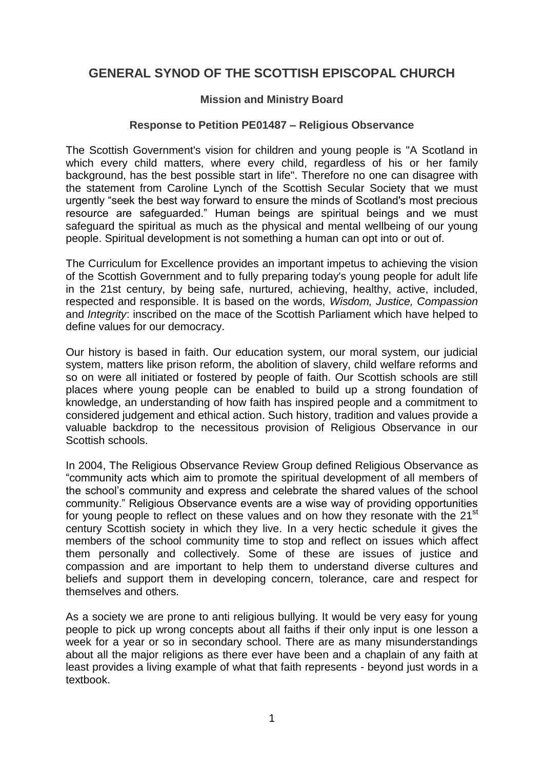## **GENERAL SYNOD OF THE SCOTTISH EPISCOPAL CHURCH**

## **Mission and Ministry Board**

## **Response to Petition PE01487 – Religious Observance**

The Scottish Government's vision for children and young people is "A Scotland in which every child matters, where every child, regardless of his or her family background, has the best possible start in life". Therefore no one can disagree with the statement from Caroline Lynch of the Scottish Secular Society that we must urgently "seek the best way forward to ensure the minds of Scotland's most precious resource are safeguarded." Human beings are spiritual beings and we must safeguard the spiritual as much as the physical and mental wellbeing of our young people. Spiritual development is not something a human can opt into or out of.

The Curriculum for Excellence provides an important impetus to achieving the vision of the Scottish Government and to fully preparing today's young people for adult life in the 21st century, by being safe, nurtured, achieving, healthy, active, included, respected and responsible. It is based on the words, *Wisdom, Justice, Compassion* and *Integrity*: inscribed on the mace of the Scottish Parliament which have helped to define values for our democracy.

Our history is based in faith. Our education system, our moral system, our judicial system, matters like prison reform, the abolition of slavery, child welfare reforms and so on were all initiated or fostered by people of faith. Our Scottish schools are still places where young people can be enabled to build up a strong foundation of knowledge, an understanding of how faith has inspired people and a commitment to considered judgement and ethical action. Such history, tradition and values provide a valuable backdrop to the necessitous provision of Religious Observance in our Scottish schools.

In 2004, The Religious Observance Review Group defined Religious Observance as "community acts which aim to promote the spiritual development of all members of the school's community and express and celebrate the shared values of the school community." Religious Observance events are a wise way of providing opportunities for young people to reflect on these values and on how they resonate with the 21<sup>st</sup> century Scottish society in which they live. In a very hectic schedule it gives the members of the school community time to stop and reflect on issues which affect them personally and collectively. Some of these are issues of justice and compassion and are important to help them to understand diverse cultures and beliefs and support them in developing concern, tolerance, care and respect for themselves and others.

As a society we are prone to anti religious bullying. It would be very easy for young people to pick up wrong concepts about all faiths if their only input is one lesson a week for a year or so in secondary school. There are as many misunderstandings about all the major religions as there ever have been and a chaplain of any faith at least provides a living example of what that faith represents - beyond just words in a textbook.